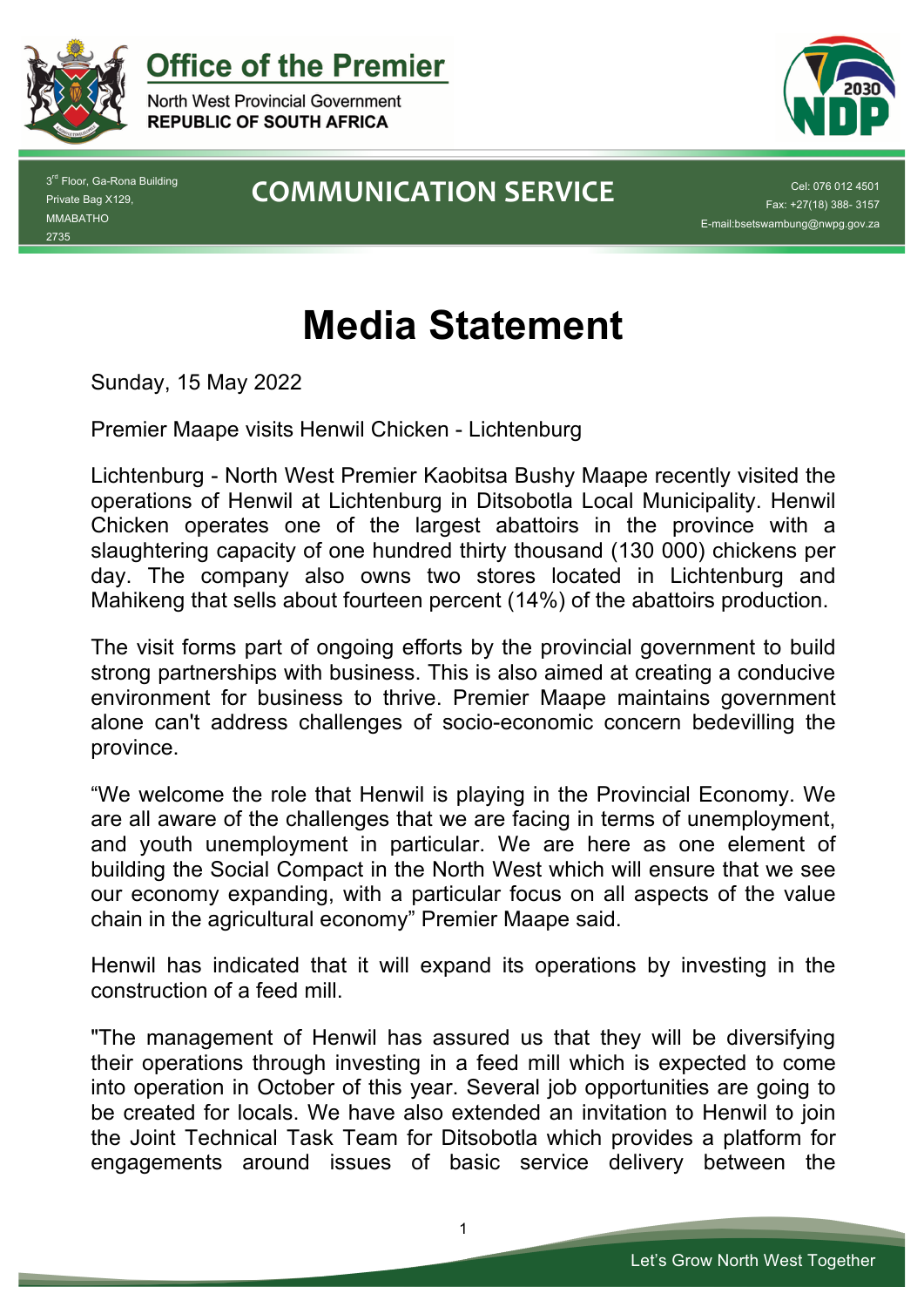

**Office of the Premier** 

North West Provincial Government **REPUBLIC OF SOUTH AFRICA** 



3<sup>rd</sup> Floor, Ga-Rona Building Private Bag X129, MMABATHO 2735

## **COMMUNICATION SERVICE**

Fax: +27(18) 388- 3157 E-mail:bsetswambung@nwpg.gov.za

## **Media Statement**

Sunday, 15 May 2022

Premier Maape visits Henwil Chicken - Lichtenburg

Lichtenburg - North West Premier Kaobitsa Bushy Maape recently visited the operations of Henwil at Lichtenburg in Ditsobotla Local Municipality. Henwil Chicken operates one of the largest abattoirs in the province with a slaughtering capacity of one hundred thirty thousand (130 000) chickens per day. The company also owns two stores located in Lichtenburg and Mahikeng that sells about fourteen percent (14%) of the abattoirs production.

The visit forms part of ongoing efforts by the provincial government to build strong partnerships with business. This is also aimed at creating a conducive environment for business to thrive. Premier Maape maintains government alone can't address challenges of socio-economic concern bedevilling the province.

"We welcome the role that Henwil is playing in the Provincial Economy. We are all aware of the challenges that we are facing in terms of unemployment, and youth unemployment in particular. We are here as one element of building the Social Compact in the North West which will ensure that we see our economy expanding, with a particular focus on all aspects of the value chain in the agricultural economy" Premier Maape said.

Henwil has indicated that it will expand its operations by investing in the construction of a feed mill.

"The management of Henwil has assured us that they will be diversifying their operations through investing in a feed mill which is expected to come into operation in October of this year. Several job opportunities are going to be created for locals. We have also extended an invitation to Henwil to join the Joint Technical Task Team for Ditsobotla which provides a platform for engagements around issues of basic service delivery between the